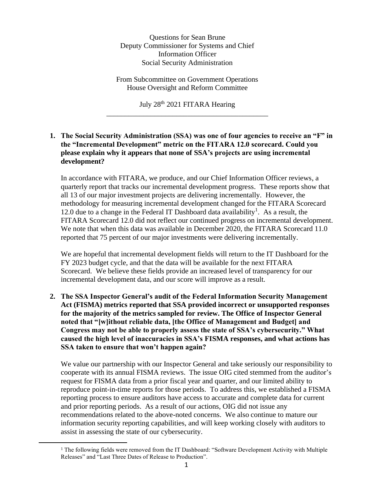Questions for Sean Brune Deputy Commissioner for Systems and Chief Information Officer Social Security Administration

From Subcommittee on Government Operations House Oversight and Reform Committee

July 28<sup>th</sup> 2021 FITARA Hearing \_\_\_\_\_\_\_\_\_\_\_\_\_\_\_\_\_\_\_\_\_\_\_\_\_\_\_\_\_\_\_\_\_\_\_\_\_\_\_\_\_\_\_\_

## **1. The Social Security Administration (SSA) was one of four agencies to receive an "F" in the "Incremental Development" metric on the FITARA 12.0 scorecard. Could you please explain why it appears that none of SSA's projects are using incremental development?**

In accordance with FITARA, we produce, and our Chief Information Officer reviews, a quarterly report that tracks our incremental development progress. These reports show that all 13 of our major investment projects are delivering incrementally. However, the methodology for measuring incremental development changed for the FITARA Scorecard 12.0 due to a change in the Federal IT Dashboard data availability<sup>1</sup>. As a result, the FITARA Scorecard 12.0 did not reflect our continued progress on incremental development. We note that when this data was available in December 2020, the FITARA Scorecard 11.0 reported that 75 percent of our major investments were delivering incrementally.

We are hopeful that incremental development fields will return to the IT Dashboard for the FY 2023 budget cycle, and that the data will be available for the next FITARA Scorecard. We believe these fields provide an increased level of transparency for our incremental development data, and our score will improve as a result.

**2. The SSA Inspector General's audit of the Federal Information Security Management Act (FISMA) metrics reported that SSA provided incorrect or unsupported responses for the majority of the metrics sampled for review. The Office of Inspector General noted that "[w]ithout reliable data, [the Office of Management and Budget] and Congress may not be able to properly assess the state of SSA's cybersecurity." What caused the high level of inaccuracies in SSA's FISMA responses, and what actions has SSA taken to ensure that won't happen again?** 

We value our partnership with our Inspector General and take seriously our responsibility to cooperate with its annual FISMA reviews. The issue OIG cited stemmed from the auditor's request for FISMA data from a prior fiscal year and quarter, and our limited ability to reproduce point-in-time reports for those periods. To address this, we established a FISMA reporting process to ensure auditors have access to accurate and complete data for current and prior reporting periods. As a result of our actions, OIG did not issue any recommendations related to the above-noted concerns. We also continue to mature our information security reporting capabilities, and will keep working closely with auditors to assist in assessing the state of our cybersecurity.

<sup>&</sup>lt;sup>1</sup> The following fields were removed from the IT Dashboard: "Software Development Activity with Multiple Releases" and "Last Three Dates of Release to Production".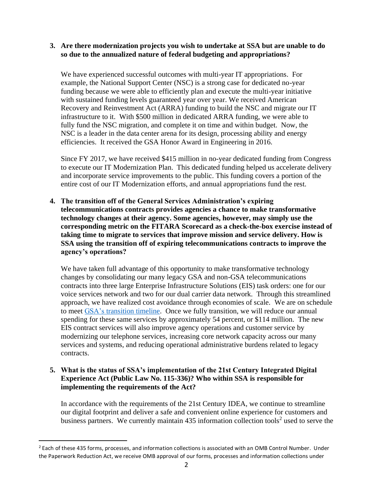## **3. Are there modernization projects you wish to undertake at SSA but are unable to do so due to the annualized nature of federal budgeting and appropriations?**

We have experienced successful outcomes with multi-year IT appropriations. For example, the National Support Center (NSC) is a strong case for dedicated no-year funding because we were able to efficiently plan and execute the multi-year initiative with sustained funding levels guaranteed year over year. We received American Recovery and Reinvestment Act (ARRA) funding to build the NSC and migrate our IT infrastructure to it. With \$500 million in dedicated ARRA funding, we were able to fully fund the NSC migration, and complete it on time and within budget. Now, the NSC is a leader in the data center arena for its design, processing ability and energy efficiencies. It received the GSA Honor Award in Engineering in 2016.

Since FY 2017, we have received \$415 million in no-year dedicated funding from Congress to execute our IT Modernization Plan. This dedicated funding helped us accelerate delivery and incorporate service improvements to the public. This funding covers a portion of the entire cost of our IT Modernization efforts, and annual appropriations fund the rest.

**4. The transition off of the General Services Administration's expiring telecommunications contracts provides agencies a chance to make transformative technology changes at their agency. Some agencies, however, may simply use the corresponding metric on the FITARA Scorecard as a check-the-box exercise instead of taking time to migrate to services that improve mission and service delivery. How is SSA using the transition off of expiring telecommunications contracts to improve the agency's operations?** 

We have taken full advantage of this opportunity to make transformative technology changes by consolidating our many legacy GSA and non-GSA telecommunications contracts into three large Enterprise Infrastructure Solutions (EIS) task orders: one for our voice services network and two for our dual carrier data network. Through this streamlined approach, we have realized cost avoidance through economies of scale. We are on schedule to meet GSA's [transition](https://www.gsa.gov/technology/technology-purchasing-programs/telecommunications-and-network-services/enterprise-infrastructure-solutions/eis-transition/transition-timeline) timeline. Once we fully transition, we will reduce our annual spending for these same services by approximately 54 percent, or \$114 million. The new EIS contract services will also improve agency operations and customer service by modernizing our telephone services, increasing core network capacity across our many services and systems, and reducing operational administrative burdens related to legacy contracts.

## **5. What is the status of SSA's implementation of the 21st Century Integrated Digital Experience Act (Public Law No. 115-336)? Who within SSA is responsible for implementing the requirements of the Act?**

In accordance with the requirements of the 21st Century IDEA, we continue to streamline our digital footprint and deliver a safe and convenient online experience for customers and business partners. We currently maintain  $435$  information collection tools<sup>2</sup> used to serve the

<sup>&</sup>lt;sup>2</sup> Each of these 435 forms, processes, and information collections is associated with an OMB Control Number. Under the Paperwork Reduction Act, we receive OMB approval of our forms, processes and information collections under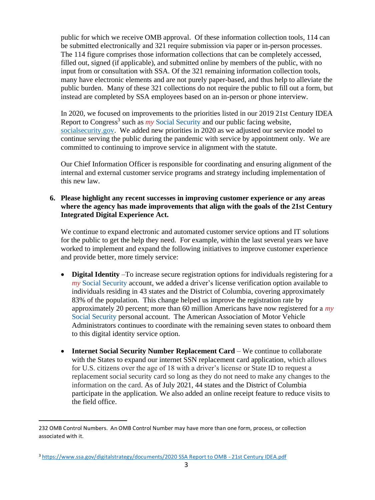public for which we receive OMB approval. Of these information collection tools, 114 can be submitted electronically and 321 require submission via paper or in-person processes. The 114 figure comprises those information collections that can be completely accessed, filled out, signed (if applicable), and submitted online by members of the public, with no input from or consultation with SSA. Of the 321 remaining information collection tools, many have electronic elements and are not purely paper-based, and thus help to alleviate the public burden. Many of these 321 collections do not require the public to fill out a form, but instead are completed by SSA employees based on an in-person or phone interview.

In 2020, we focused on improvements to the priorities listed in our 2019 21st Century IDEA Report to Congress<sup>3</sup> such as *my* Social Security and our public facing website, [socialsecurity.gov.](http://www.ssa.gov/) We added new priorities in 2020 as we adjusted our service model to continue serving the public during the pandemic with service by appointment only. We are committed to continuing to improve service in alignment with the statute.

Our Chief Information Officer is responsible for coordinating and ensuring alignment of the internal and external customer service programs and strategy including implementation of this new law.

## **6. Please highlight any recent successes in improving customer experience or any areas where the agency has made improvements that align with the goals of the 21st Century Integrated Digital Experience Act.**

We continue to expand electronic and automated customer service options and IT solutions for the public to get the help they need. For example, within the last several years we have worked to implement and expand the following initiatives to improve customer experience and provide better, more timely service:

- **Digital Identity** –To increase secure registration options for individuals registering for a *my* Social Security account, we added a driver's license verification option available to individuals residing in 43 states and the District of Columbia, covering approximately 83% of the population. This change helped us improve the registration rate by approximately 20 percent; more than 60 million Americans have now registered for a *my* Social Security personal account. The American Association of Motor Vehicle Administrators continues to coordinate with the remaining seven states to onboard them to this digital identity service option.
- **Internet Social Security Number Replacement Card** We continue to collaborate with the States to expand our internet SSN replacement card application, which allows for U.S. citizens over the age of 18 with a driver's license or State ID to request a replacement social security card so long as they do not need to make any changes to the information on the card. As of July 2021, 44 states and the District of Columbia participate in the application. We also added an online receipt feature to reduce visits to the field office.

<sup>232</sup> OMB Control Numbers. An OMB Control Number may have more than one form, process, or collection associated with it.

<sup>3</sup> [https://www.ssa.gov/digitalstrategy/documents/2020 SSA Report to OMB -](https://www.ssa.gov/digitalstrategy/documents/2020%20SSA%20Report%20to%20OMB%20-%2021st%20Century%20IDEA.pdf) 21st Century IDEA.pdf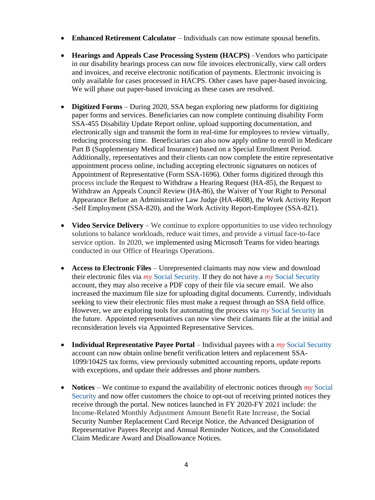- **Enhanced Retirement Calculator** Individuals can now estimate spousal benefits.
- **Hearings and Appeals Case Processing System (HACPS)** –Vendors who participate in our disability hearings process can now file invoices electronically, view call orders and invoices, and receive electronic notification of payments. Electronic invoicing is only available for cases processed in HACPS. Other cases have paper-based invoicing. We will phase out paper-based invoicing as these cases are resolved.
- **Digitized Forms** During 2020, SSA began exploring new platforms for digitizing paper forms and services. Beneficiaries can now complete continuing disability Form SSA-455 Disability Update Report online, upload supporting documentation, and electronically sign and transmit the form in real-time for employees to review virtually, reducing processing time. Beneficiaries can also now apply online to enroll in Medicare Part B (Supplementary Medical Insurance) based on a Special Enrollment Period. Additionally, representatives and their clients can now complete the entire representative appointment process online, including accepting electronic signatures on notices of Appointment of Representative (Form SSA-1696). Other forms digitized through this process include the Request to Withdraw a Hearing Request (HA-85), the Request to Withdraw an Appeals Council Review (HA-86), the Waiver of Your Right to Personal Appearance Before an Administrative Law Judge (HA-4608), the Work Activity Report -Self Employment (SSA-820), and the Work Activity Report-Employee (SSA-821).
- **Video Service Delivery** We continue to explore opportunities to use video technology solutions to balance workloads, reduce wait times, and provide a virtual face-to-face service option. In 2020, we implemented using Microsoft Teams for video hearings conducted in our Office of Hearings Operations.
- **Access to Electronic Files** Unrepresented claimants may now view and download their electronic files via *my* Social Security. If they do not have a *my* Social Security account, they may also receive a PDF copy of their file via secure email. We also increased the maximum file size for uploading digital documents. Currently, individuals seeking to view their electronic files must make a request through an SSA field office. However, we are exploring tools for automating the process via *my* Social Security in the future. Appointed representatives can now view their claimants file at the initial and reconsideration levels via Appointed Representative Services.
- **Individual Representative Payee Portal** Individual payees with a *my* Social Security account can now obtain online benefit verification letters and replacement SSA-1099/1042S tax forms, view previously submitted accounting reports, update reports with exceptions, and update their addresses and phone numbers.
- **Notices** We continue to expand the availability of electronic notices through *my* Social Security and now offer customers the choice to opt-out of receiving printed notices they receive through the portal. New notices launched in FY 2020-FY 2021 include: the Income-Related Monthly Adjustment Amount Benefit Rate Increase, the Social Security Number Replacement Card Receipt Notice, the Advanced Designation of Representative Payees Receipt and Annual Reminder Notices, and the Consolidated Claim Medicare Award and Disallowance Notices.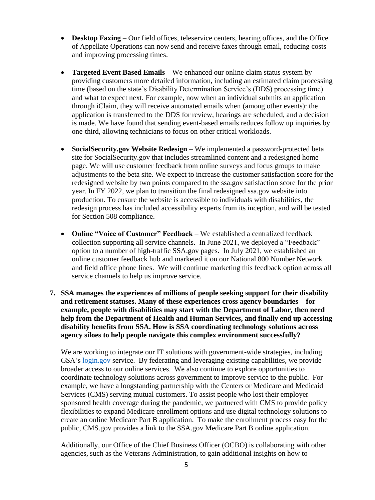- **Desktop Faxing** Our field offices, teleservice centers, hearing offices, and the Office of Appellate Operations can now send and receive faxes through email, reducing costs and improving processing times.
- **Targeted Event Based Emails** We enhanced our online claim status system by providing customers more detailed information, including an estimated claim processing time (based on the state's Disability Determination Service's (DDS) processing time) and what to expect next. For example, now when an individual submits an application through iClaim, they will receive automated emails when (among other events): the application is transferred to the DDS for review, hearings are scheduled, and a decision is made. We have found that sending event-based emails reduces follow up inquiries by one-third, allowing technicians to focus on other critical workloads.
- **SocialSecurity.gov Website Redesign** We implemented a password-protected beta site for SocialSecurity.gov that includes streamlined content and a redesigned home page. We will use customer feedback from online surveys and focus groups to make adjustments to the beta site. We expect to increase the customer satisfaction score for the redesigned website by two points compared to the ssa.gov satisfaction score for the prior year. In FY 2022, we plan to transition the final redesigned ssa.gov website into production. To ensure the website is accessible to individuals with disabilities, the redesign process has included accessibility experts from its inception, and will be tested for Section 508 compliance.
- **Online "Voice of Customer" Feedback**  We established a centralized feedback collection supporting all service channels. In June 2021, we deployed a "Feedback" option to a number of high-traffic SSA.gov pages. In July 2021, we established an online customer feedback hub and marketed it on our National 800 Number Network and field office phone lines. We will continue marketing this feedback option across all service channels to help us improve service.
- **7. SSA manages the experiences of millions of people seeking support for their disability and retirement statuses. Many of these experiences cross agency boundaries—for example, people with disabilities may start with the Department of Labor, then need help from the Department of Health and Human Services, and finally end up accessing disability benefits from SSA. How is SSA coordinating technology solutions across agency siloes to help people navigate this complex environment successfully?**

We are working to integrate our IT solutions with government-wide strategies, including GSA's [login.gov](https://login.gov/) service. By federating and leveraging existing capabilities, we provide broader access to our online services. We also continue to explore opportunities to coordinate technology solutions across government to improve service to the public. For example, we have a longstanding partnership with the Centers or Medicare and Medicaid Services (CMS) serving mutual customers. To assist people who lost their employer sponsored health coverage during the pandemic, we partnered with CMS to provide policy flexibilities to expand Medicare enrollment options and use digital technology solutions to create an online Medicare Part B application. To make the enrollment process easy for the public, CMS.gov provides a link to the SSA.gov Medicare Part B online application.

Additionally, our Office of the Chief Business Officer (OCBO) is collaborating with other agencies, such as the Veterans Administration, to gain additional insights on how to